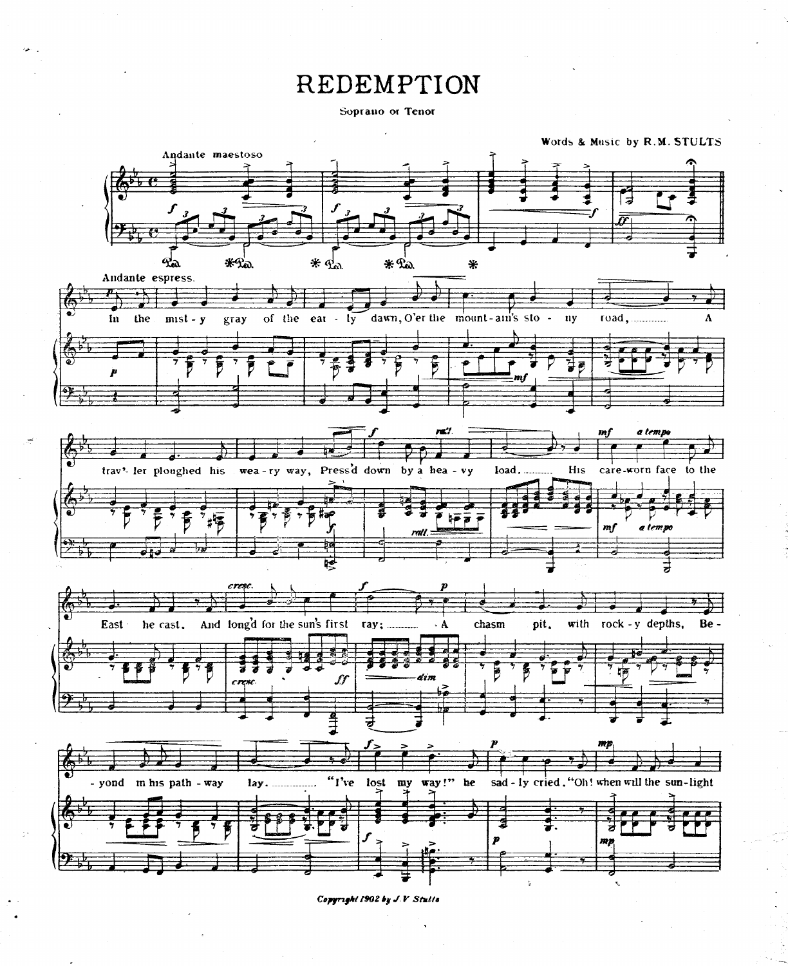## REDEMPTION

Soprano or Tenor



Copyright 1902 by J.V Stulls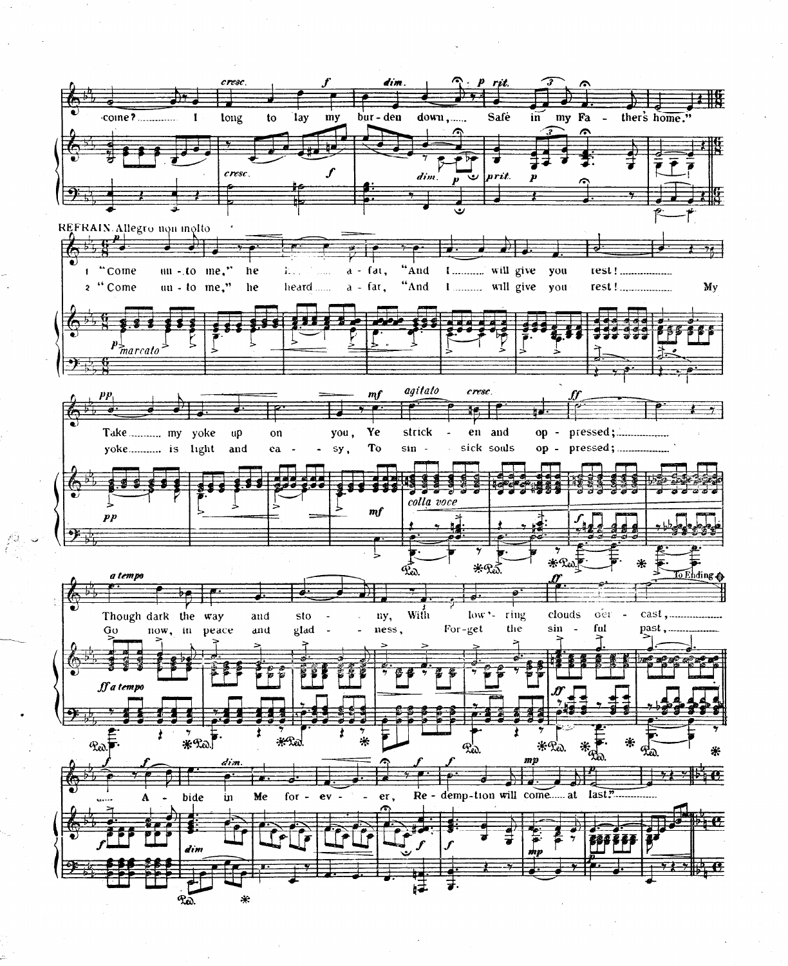